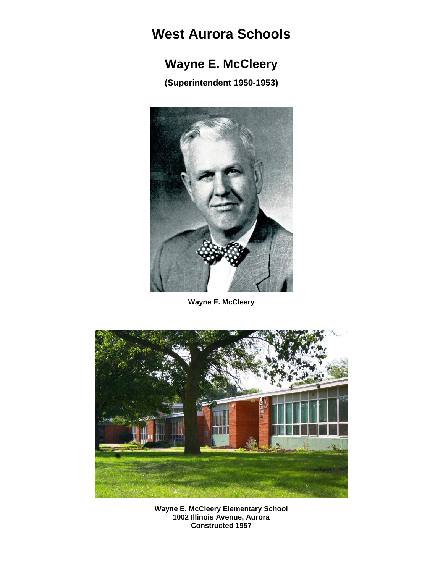## **West Aurora Schools**

## **Wayne E. McCleery**

**(Superintendent 1950-1953)**



**Wayne E. McCleery**



**Wayne E. McCleery Elementary School 1002 Illinois Avenue, Aurora Constructed 1957**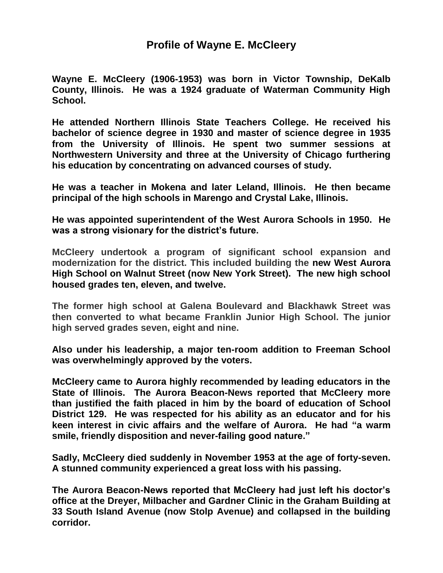## **Profile of Wayne E. McCleery**

**Wayne E. McCleery (1906-1953) was born in Victor Township, DeKalb County, Illinois. He was a 1924 graduate of Waterman Community High School.**

**He attended Northern Illinois State Teachers College. He received his bachelor of science degree in 1930 and master of science degree in 1935 from the University of Illinois. He spent two summer sessions at Northwestern University and three at the University of Chicago furthering his education by concentrating on advanced courses of study.**

**He was a teacher in Mokena and later Leland, Illinois. He then became principal of the high schools in Marengo and Crystal Lake, Illinois.**

**He was appointed superintendent of the West Aurora Schools in 1950. He was a strong visionary for the district's future.**

**McCleery undertook a program of significant school expansion and modernization for the district. This included building the new West Aurora High School on Walnut Street (now New York Street). The new high school housed grades ten, eleven, and twelve.**

**The former high school at Galena Boulevard and Blackhawk Street was then converted to what became Franklin Junior High School. The junior high served grades seven, eight and nine.**

**Also under his leadership, a major ten-room addition to Freeman School was overwhelmingly approved by the voters.**

**McCleery came to Aurora highly recommended by leading educators in the State of Illinois. The Aurora Beacon-News reported that McCleery more than justified the faith placed in him by the board of education of School District 129. He was respected for his ability as an educator and for his keen interest in civic affairs and the welfare of Aurora. He had "a warm smile, friendly disposition and never-failing good nature."**

**Sadly, McCleery died suddenly in November 1953 at the age of forty-seven. A stunned community experienced a great loss with his passing.**

**The Aurora Beacon-News reported that McCleery had just left his doctor's office at the Dreyer, Milbacher and Gardner Clinic in the Graham Building at 33 South Island Avenue (now Stolp Avenue) and collapsed in the building corridor.**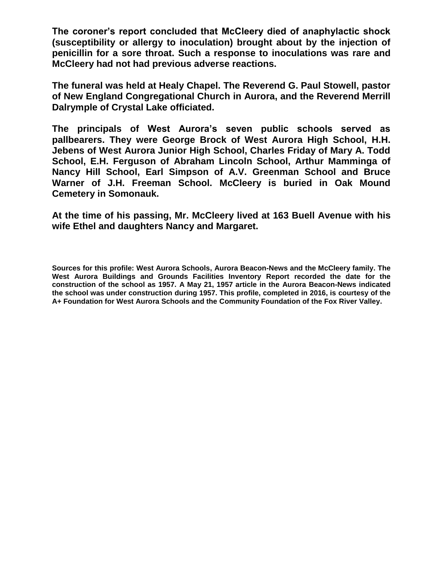**The coroner's report concluded that McCleery died of anaphylactic shock (susceptibility or allergy to inoculation) brought about by the injection of penicillin for a sore throat. Such a response to inoculations was rare and McCleery had not had previous adverse reactions.**

**The funeral was held at Healy Chapel. The Reverend G. Paul Stowell, pastor of New England Congregational Church in Aurora, and the Reverend Merrill Dalrymple of Crystal Lake officiated.** 

**The principals of West Aurora's seven public schools served as pallbearers. They were George Brock of West Aurora High School, H.H. Jebens of West Aurora Junior High School, Charles Friday of Mary A. Todd School, E.H. Ferguson of Abraham Lincoln School, Arthur Mamminga of Nancy Hill School, Earl Simpson of A.V. Greenman School and Bruce Warner of J.H. Freeman School. McCleery is buried in Oak Mound Cemetery in Somonauk.**

**At the time of his passing, Mr. McCleery lived at 163 Buell Avenue with his wife Ethel and daughters Nancy and Margaret.**

**Sources for this profile: West Aurora Schools, Aurora Beacon-News and the McCleery family. The West Aurora Buildings and Grounds Facilities Inventory Report recorded the date for the construction of the school as 1957. A May 21, 1957 article in the Aurora Beacon-News indicated the school was under construction during 1957. This profile, completed in 2016, is courtesy of the A+ Foundation for West Aurora Schools and the Community Foundation of the Fox River Valley.**